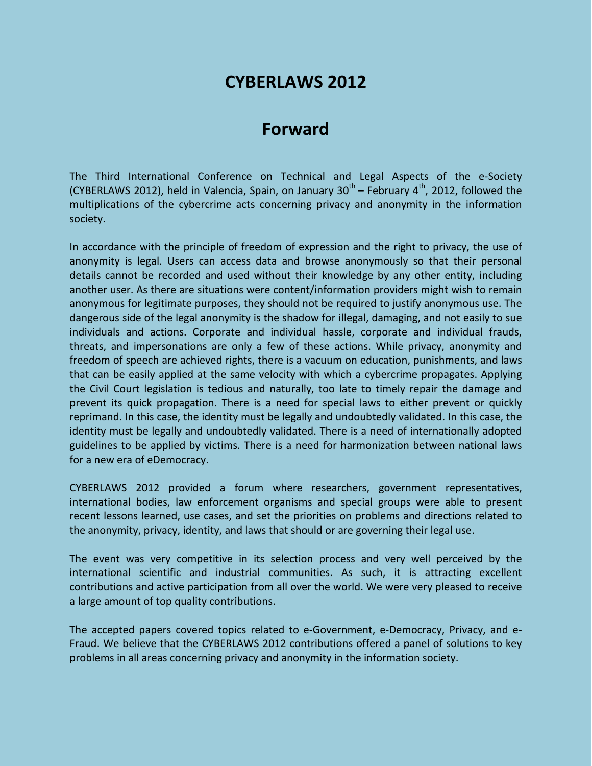## **CYBERLAWS 2012**

## **Forward**

The Third International Conference on Technical and Legal Aspects of the e-Society (CYBERLAWS 2012), held in Valencia, Spain, on January 30<sup>th</sup> – February 4<sup>th</sup>, 2012, followed the multiplications of the cybercrime acts concerning privacy and anonymity in the information society.

In accordance with the principle of freedom of expression and the right to privacy, the use of anonymity is legal. Users can access data and browse anonymously so that their personal details cannot be recorded and used without their knowledge by any other entity, including another user. As there are situations were content/information providers might wish to remain anonymous for legitimate purposes, they should not be required to justify anonymous use. The dangerous side of the legal anonymity is the shadow for illegal, damaging, and not easily to sue individuals and actions. Corporate and individual hassle, corporate and individual frauds, threats, and impersonations are only a few of these actions. While privacy, anonymity and freedom of speech are achieved rights, there is a vacuum on education, punishments, and laws that can be easily applied at the same velocity with which a cybercrime propagates. Applying the Civil Court legislation is tedious and naturally, too late to timely repair the damage and prevent its quick propagation. There is a need for special laws to either prevent or quickly reprimand. In this case, the identity must be legally and undoubtedly validated. In this case, the identity must be legally and undoubtedly validated. There is a need of internationally adopted guidelines to be applied by victims. There is a need for harmonization between national laws for a new era of eDemocracy.

CYBERLAWS 2012 provided a forum where researchers, government representatives, international bodies, law enforcement organisms and special groups were able to present recent lessons learned, use cases, and set the priorities on problems and directions related to the anonymity, privacy, identity, and laws that should or are governing their legal use.

The event was very competitive in its selection process and very well perceived by the international scientific and industrial communities. As such, it is attracting excellent contributions and active participation from all over the world. We were very pleased to receive a large amount of top quality contributions.

The accepted papers covered topics related to e-Government, e-Democracy, Privacy, and e-Fraud. We believe that the CYBERLAWS 2012 contributions offered a panel of solutions to key problems in all areas concerning privacy and anonymity in the information society.